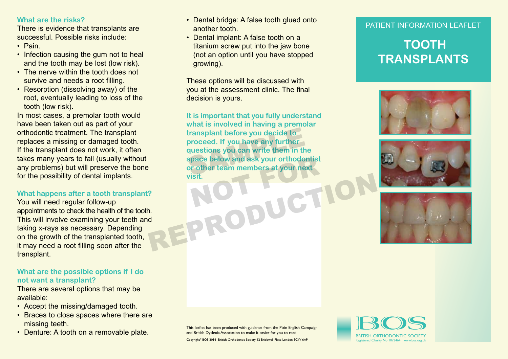## **What are the risks?**

There is evidence that transplants are successful. Possible risks include:

- Pain.
- Infection causing the gum not to heal and the tooth may be lost (low risk).
- The nerve within the tooth does not survive and needs a root filling.
- Resorption (dissolving away) of the root, eventually leading to loss of the tooth (low risk).

In most cases, a premolar tooth would have been taken out as part of your orthodontic treatment. The transplant replaces a missing or damaged tooth. If the transplant does not work, it often takes many years to fail (usually without any problems) but will preserve the bone for the possibility of dental implants.

#### **What happens after a tooth transplant?**

You will need regular follow-up appointments to check the health of the tooth. This will involve examining your teeth and taking x-rays as necessary. Depending on the growth of the transplanted tooth, it may need a root filling soon after the transplant.

# **What are the possible options if I do not want a transplant?**

There are several options that may be available:

- Accept the missing/damaged tooth.
- Braces to close spaces where there are missing teeth.
- Denture: A tooth on a removable plate.<br>BRITISH ORTHODONTIC SOCIETY
- Dental bridge: A false tooth glued onto another tooth.
- Dental implant: A false tooth on a titanium screw put into the jaw bone (not an option until you have stopped growing).

These options will be discussed with you at the assessment clinic. The final decision is yours.

**It is important that you fully understand what is involved in having a premolar transplant before you decide to proceed. If you have any further questions you can write them in the space below and ask your orthodontist**  transplant before you decide to<br>proceed. If you have any further<br>questions you can write them in the<br>space below and ask your orthodontist<br>or other team members at your next **visit.** pace below and ask your orthodontist<br>r other team members at your next<br>isit. REPRODUCTION

## PATIENT INFORMATION LEAFLET

# **TOOTH TRANSPLANTS**







This leaflet has been produced with guidance from the Plain English Campaign and British Dyslexia Association to make it easier for you to read

Copyright® BOS 2014 British Orthodontic Society 12 Bridewell Place London EC4V 6AP<br>
Registered Charity No 1073464 www.bos.org.u